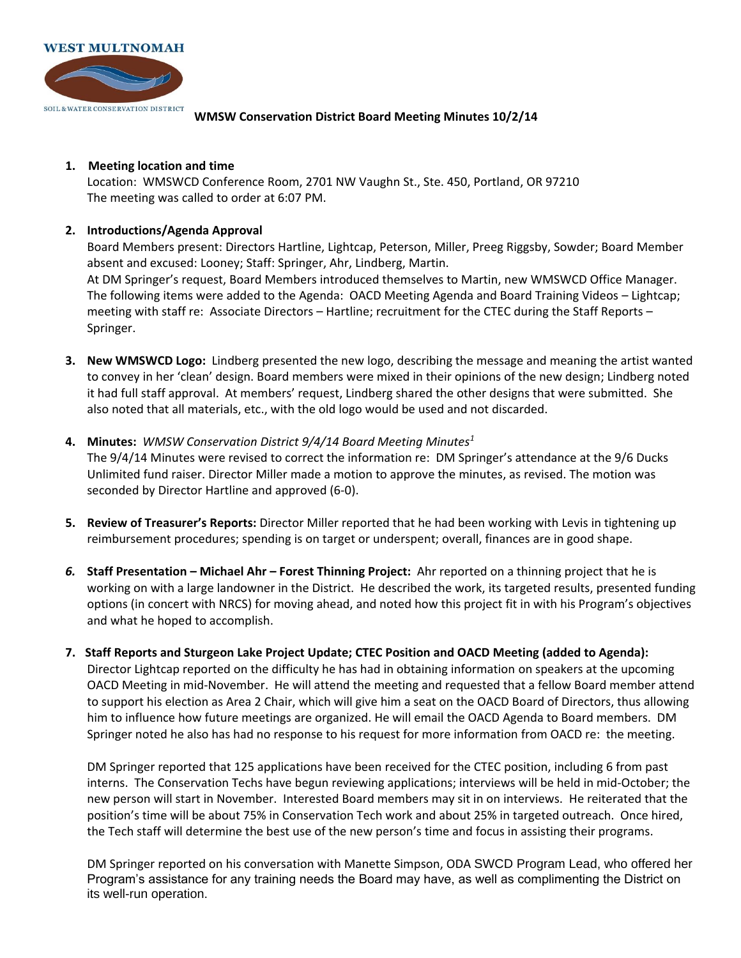

**WMSW Conservation District Board Meeting Minutes 10/2/14** 

## **1. Meeting location and time**

Location: WMSWCD Conference Room, 2701 NW Vaughn St., Ste. 450, Portland, OR 97210 The meeting was called to order at 6:07 PM.

## **2. Introductions/Agenda Approval**

Board Members present: Directors Hartline, Lightcap, Peterson, Miller, Preeg Riggsby, Sowder; Board Member absent and excused: Looney; Staff: Springer, Ahr, Lindberg, Martin. At DM Springer's request, Board Members introduced themselves to Martin, new WMSWCD Office Manager. The following items were added to the Agenda: OACD Meeting Agenda and Board Training Videos – Lightcap; meeting with staff re: Associate Directors – Hartline; recruitment for the CTEC during the Staff Reports – Springer.

- **3. New WMSWCD Logo:** Lindberg presented the new logo, describing the message and meaning the artist wanted to convey in her 'clean' design. Board members were mixed in their opinions of the new design; Lindberg noted it had full staff approval. At members' request, Lindberg shared the other designs that were submitted. She also noted that all materials, etc., with the old logo would be used and not discarded.
- **4. Minutes:** *WMSW Conservation District 9/4/14 Board Meeting Minutes<sup>1</sup>*

The 9/4/14 Minutes were revised to correct the information re: DM Springer's attendance at the 9/6 Ducks Unlimited fund raiser. Director Miller made a motion to approve the minutes, as revised. The motion was seconded by Director Hartline and approved (6-0).

- **5. Review of Treasurer's Reports:** Director Miller reported that he had been working with Levis in tightening up reimbursement procedures; spending is on target or underspent; overall, finances are in good shape.
- *6.* **Staff Presentation – Michael Ahr – Forest Thinning Project:** Ahr reported on a thinning project that he is working on with a large landowner in the District. He described the work, its targeted results, presented funding options (in concert with NRCS) for moving ahead, and noted how this project fit in with his Program's objectives and what he hoped to accomplish.
- **7. Staff Reports and Sturgeon Lake Project Update; CTEC Position and OACD Meeting (added to Agenda):**  Director Lightcap reported on the difficulty he has had in obtaining information on speakers at the upcoming OACD Meeting in mid-November. He will attend the meeting and requested that a fellow Board member attend to support his election as Area 2 Chair, which will give him a seat on the OACD Board of Directors, thus allowing him to influence how future meetings are organized. He will email the OACD Agenda to Board members. DM Springer noted he also has had no response to his request for more information from OACD re: the meeting.

DM Springer reported that 125 applications have been received for the CTEC position, including 6 from past interns. The Conservation Techs have begun reviewing applications; interviews will be held in mid-October; the new person will start in November. Interested Board members may sit in on interviews. He reiterated that the position's time will be about 75% in Conservation Tech work and about 25% in targeted outreach. Once hired, the Tech staff will determine the best use of the new person's time and focus in assisting their programs.

DM Springer reported on his conversation with Manette Simpson, ODA SWCD Program Lead, who offered her Program's assistance for any training needs the Board may have, as well as complimenting the District on its well-run operation.